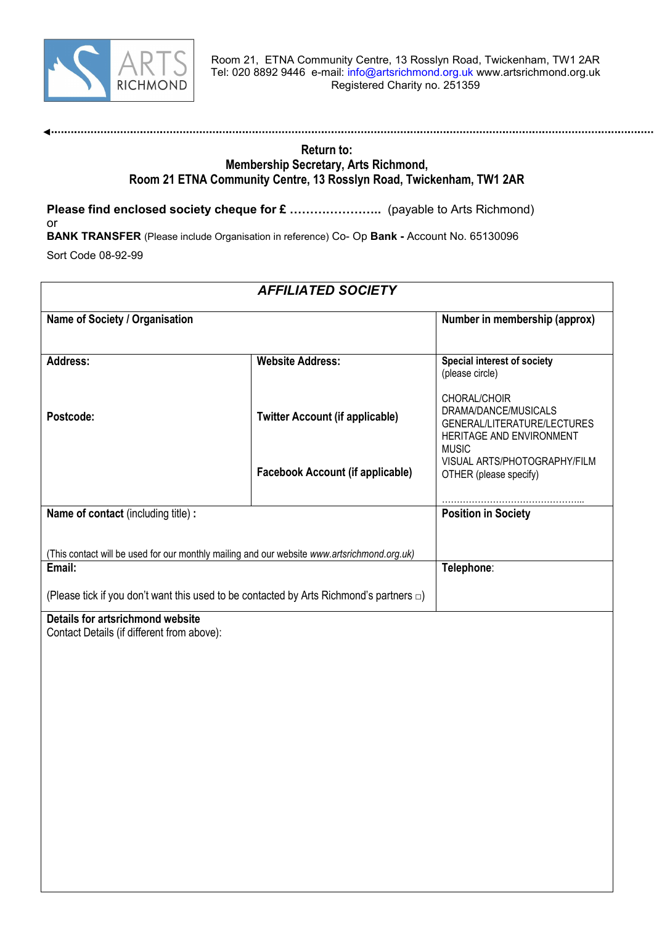

#### **Return to: Membership Secretary, Arts Richmond, Room 21 ETNA Community Centre, 13 Rosslyn Road, Twickenham, TW1 2AR**

**Please find enclosed society cheque for £ …………………..** (payable to Arts Richmond) or

**BANK TRANSFER** (Please include Organisation in reference) Co- Op **Bank -** Account No. 65130096 Sort Code 08-92-99

| <b>AFFILIATED SOCIETY</b>                 |                                                                                               |                                                                                                                 |
|-------------------------------------------|-----------------------------------------------------------------------------------------------|-----------------------------------------------------------------------------------------------------------------|
| Name of Society / Organisation            |                                                                                               | Number in membership (approx)                                                                                   |
| Address:                                  | <b>Website Address:</b>                                                                       | <b>Special interest of society</b><br>(please circle)                                                           |
| Postcode:                                 | <b>Twitter Account (if applicable)</b>                                                        | CHORAL/CHOIR<br>DRAMA/DANCE/MUSICALS<br>GENERAL/LITERATURE/LECTURES<br>HERITAGE AND ENVIRONMENT<br><b>MUSIC</b> |
|                                           | <b>Facebook Account (if applicable)</b>                                                       | VISUAL ARTS/PHOTOGRAPHY/FILM<br>OTHER (please specify)                                                          |
| <b>Name of contact (including title):</b> |                                                                                               | <b>Position in Society</b>                                                                                      |
|                                           | (This contact will be used for our monthly mailing and our website www.artsrichmond.org.uk)   |                                                                                                                 |
| Email:                                    |                                                                                               | Telephone:                                                                                                      |
|                                           | (Please tick if you don't want this used to be contacted by Arts Richmond's partners $\Box$ ) |                                                                                                                 |
|                                           |                                                                                               |                                                                                                                 |

#### **Details for artsrichmond website**

Contact Details (if different from above):